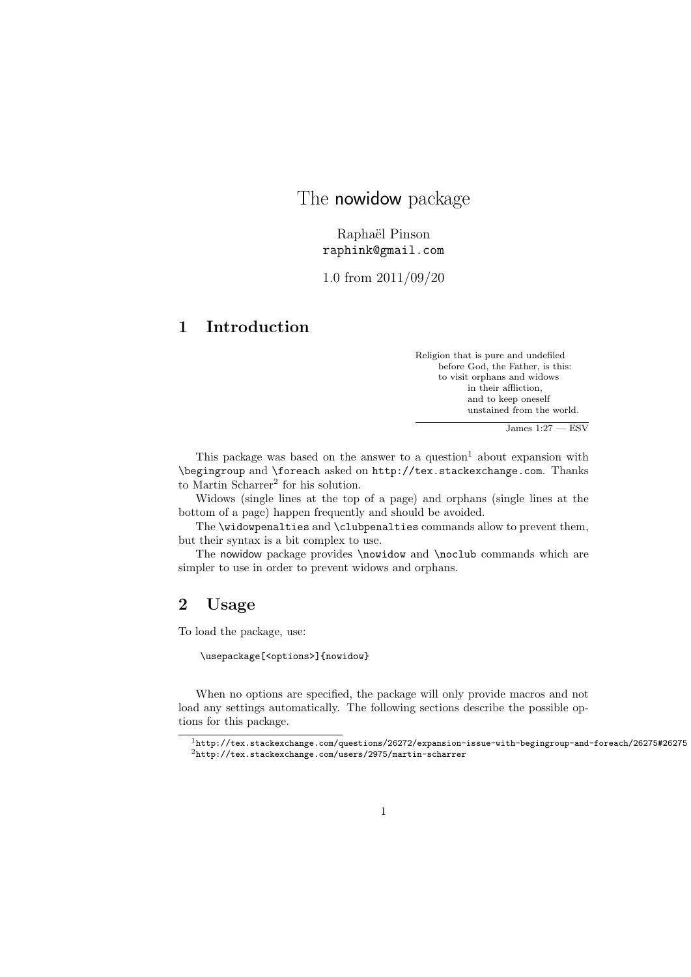# The nowidow package

Raphaël Pinson raphink@gmail.com

1.0 from 2011/09/20

# 1 Introduction

Religion that is pure and undefiled before God, the Father, is this: to visit orphans and widows in their affliction, and to keep oneself unstained from the world.

 $James 1:27 - ESV$ 

This package was based on the answer to a question<sup>1</sup> about expansion with \begingroup and \foreach asked on http://tex.stackexchange.com. Thanks to Martin Scharrer<sup>2</sup> for his solution.

Widows (single lines at the top of a page) and orphans (single lines at the bottom of a page) happen frequently and should be avoided.

The \widowpenalties and \clubpenalties commands allow to prevent them, but their syntax is a bit complex to use.

The nowidow package provides \nowidow and \noclub commands which are simpler to use in order to prevent widows and orphans.

## 2 Usage

To load the package, use:

\usepackage[<options>]{nowidow}

When no options are specified, the package will only provide macros and not load any settings automatically. The following sections describe the possible options for this package.

<sup>1</sup>http://tex.stackexchange.com/questions/26272/expansion-issue-with-begingroup-and-foreach/26275#26275 <sup>2</sup>http://tex.stackexchange.com/users/2975/martin-scharrer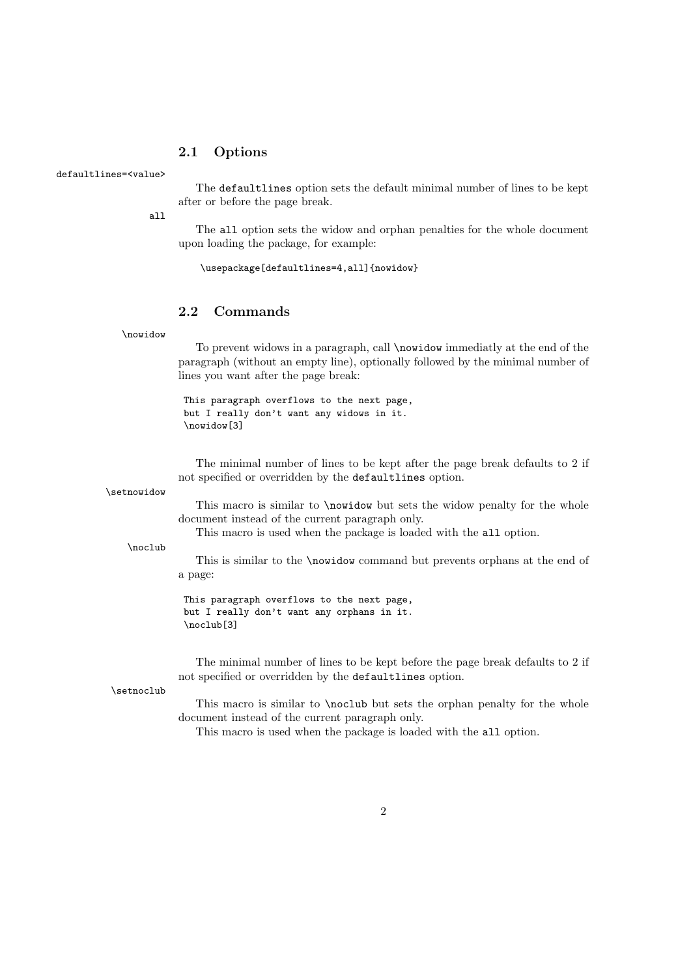### 2.1 Options

#### defaultlines=<value>

The defaultlines option sets the default minimal number of lines to be kept after or before the page break.

all

The all option sets the widow and orphan penalties for the whole document upon loading the package, for example:

\usepackage[defaultlines=4,all]{nowidow}

### 2.2 Commands

\nowidow

To prevent widows in a paragraph, call \nowidow immediatly at the end of the paragraph (without an empty line), optionally followed by the minimal number of lines you want after the page break:

This paragraph overflows to the next page, but I really don't want any widows in it. \nowidow[3]

The minimal number of lines to be kept after the page break defaults to 2 if not specified or overridden by the defaultlines option.

\setnowidow

This macro is similar to \nowidow but sets the widow penalty for the whole document instead of the current paragraph only.

This macro is used when the package is loaded with the all option.

\noclub

This is similar to the \nowidow command but prevents orphans at the end of a page:

This paragraph overflows to the next page, but I really don't want any orphans in it. \noclub[3]

The minimal number of lines to be kept before the page break defaults to 2 if not specified or overridden by the defaultlines option.

\setnoclub

This macro is similar to \noclub but sets the orphan penalty for the whole document instead of the current paragraph only.

This macro is used when the package is loaded with the all option.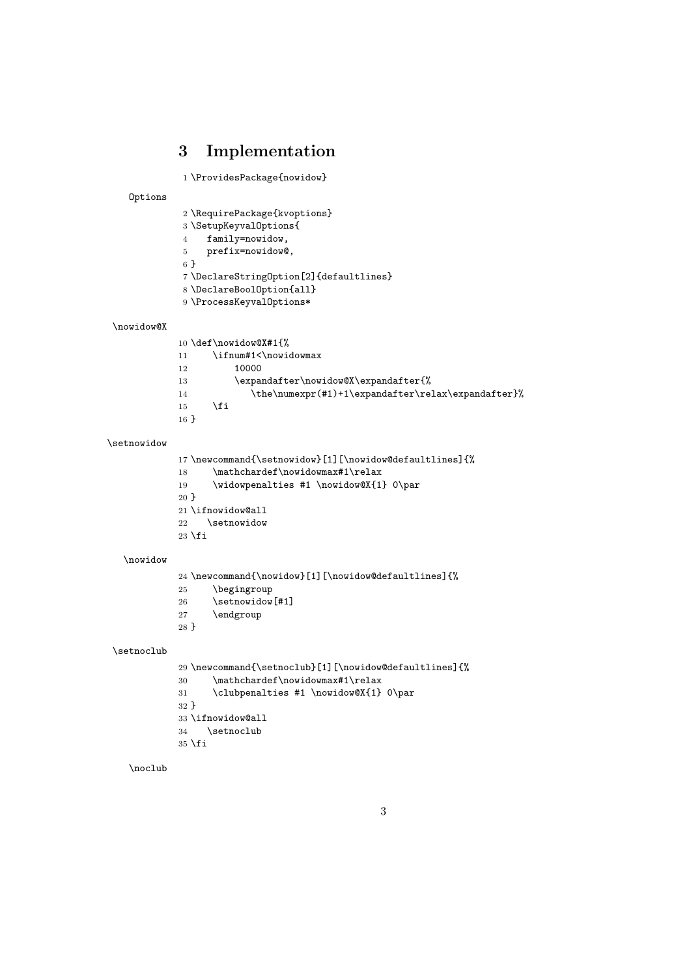# 3 Implementation

```
1 \ProvidesPackage{nowidow}
```
Options

| 2 \RequirePackage{kvoptions}           |
|----------------------------------------|
| 3 \SetupKeyvalOptions{                 |
| family=nowidow,<br>4                   |
| prefix=nowidow@,<br>5                  |
| 6 F                                    |
| 7\DeclareString0ption[2]{defaultlines} |
| 8 \DeclareBoolOption{all}              |
| 9 \ProcessKeyvalOptions*               |
|                                        |
|                                        |

### \nowidow@X

|         | 10 \def\nowidow@X#1{%                              |  |
|---------|----------------------------------------------------|--|
| 11      | \ifnum#1<\nowidowmax                               |  |
| 12      | 10000                                              |  |
| 13      | \expandafter\nowidow@X\expandafter{%               |  |
| 14      | \the\numexpr(#1)+1\expandafter\relax\expandafter}% |  |
| 15      | \fi                                                |  |
| $16 \}$ |                                                    |  |

### \setnowidow

```
17 \newcommand{\setnowidow}[1][\nowidow@defaultlines]{%
18 \mathchardef\nowidowmax#1\relax
19 \widowpenalties #1 \nowidow@X{1} 0\par
20 }
21 \ifnowidow@all
22 \setnowidow
23 \fi
```
#### \nowidow

|        | 24 \newcommand{\nowidow}[1][\nowidow@defaultlines]{% |
|--------|------------------------------------------------------|
| 25     | \begingroup                                          |
| 26     | \setnowidow[#1]                                      |
| 27     | \endgroup                                            |
| $28$ } |                                                      |
|        |                                                      |

### \setnoclub

```
29 \newcommand{\setnoclub}[1][\nowidow@defaultlines]{%
30 \mathchardef\nowidowmax#1\relax
31 \clubpenalties #1 \nowidow@X{1} 0\par
32 }
33 \ifnowidow@all
34 \setnoclub
35 \text{ t}
```
### \noclub